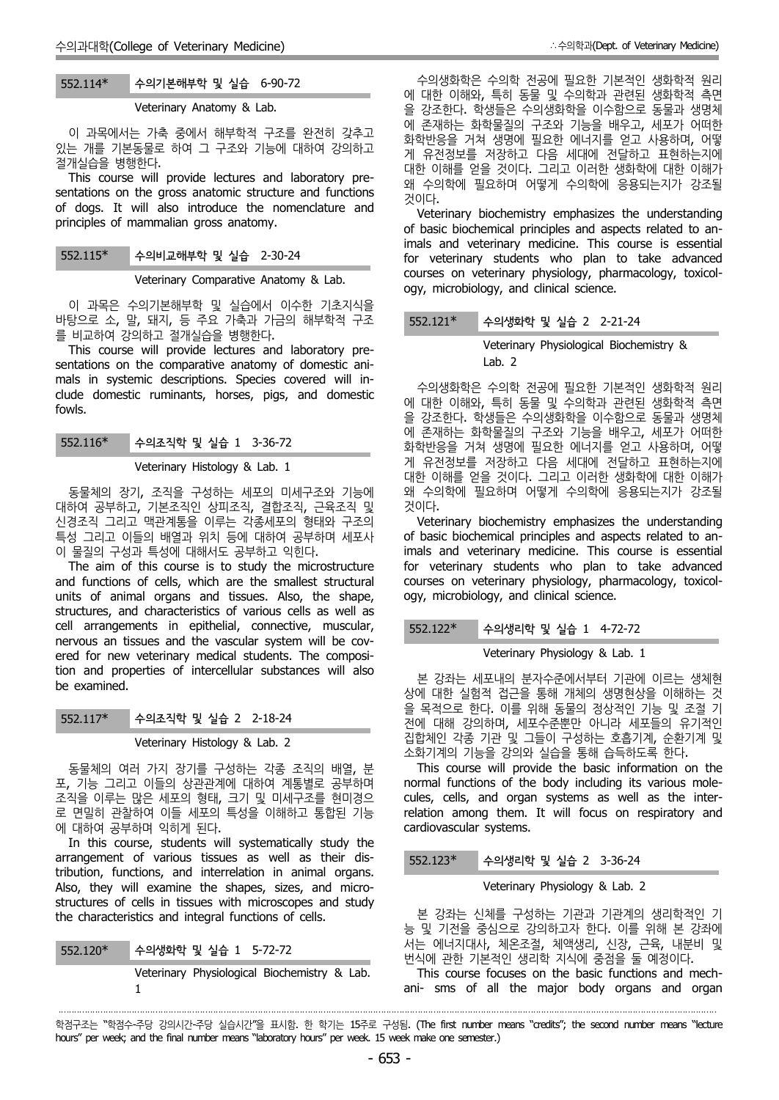# 552.114\* 수의기본해부학 및 실습 6-90-72

### Veterinary Anatomy & Lab.

이 과목에서는 가축 중에서 해부학적 구조를 완전히 갖추고 있는 개를 기본동물로 하여 그 구조와 기능에 대하여 강의하고 절개실습을 병행한다.

This course will provide lectures and laboratory pre sentations on the gross anatomic structure and functions of dogs. It will also introduce the nomenclature and principles of mammalian gross anatomy.

# 552.115\* 수의비교해부학 및 실습 2-30-24

Veterinary Comparative Anatomy & Lab.

이 과목은 수의기본해부학 및 실습에서 이수한 기초지식을 바탕으로 소, 말, 돼지, 등 주요 가축과 가금의 해부학적 구조 를 비교하여 강의하고 절개실습을 병행한다.

This course will provide lectures and laboratory pre sentations on the comparative anatomy of domestic ani mals in systemic descriptions. Species covered will in clude domestic ruminants, horses, pigs, and domestic fowls.

552.116\* 수의조직학 및 실습 1 3-36-72

Veterinary Histology & Lab. 1

동물체의 장기, 조직을 구성하는 세포의 미세구조와 기능에 대하여 공부하고, 기본조직인 상피조직, 결합조직, 근육조직 및 신경조직 그리고 맥관계통을 이루는 각종세포의 형태와 구조의 특성 그리고 이들의 배열과 위치 등에 대하여 공부하며 세포사 이 물질의 구성과 특성에 대해서도 공부하고 익힌다.

The aim of this course is to study the microstructure and functions of cells, which are the smallest structural units of animal organs and tissues. Also, the shape, structures, and characteristics of various cells as well as cell arrangements in epithelial, connective, muscular, nervous an tissues and the vascular system will be cov ered for new veterinary medical students. The composition and properties of intercellular substances will also be examined.

552.117\* 수의조직학 및 실습 2 2-18-24

### Veterinary Histology & Lab. 2

동물체의 여러 가지 장기를 구성하는 각종 조직의 배열, 분 포, 기능 그리고 이들의 상관관계에 대하여 계통별로 공부하며 조직을 이루는 많은 세포의 형태, 크기 및 미세구조를 현미경으 로 면밀히 관찰하여 이들 세포의 특성을 이해하고 통합된 기능 에 대하여 공부하며 익히게 된다.

In this course, students will systematically study the arrangement of various tissues as well as their distribution, functions, and interrelation in animal organs. Also, they will examine the shapes, sizes, and micro structures of cells in tissues with microscopes and study the characteristics and integral functions of cells.

| $552.120*$ | ▌수의생화학 및 실습 1 5-72-72                        |
|------------|----------------------------------------------|
|            | Veterinary Physiological Biochemistry & Lab. |

·

수의생화학은 수의학 전공에 필요한 기본적인 생화학적 원리 에 대한 이해와, 특히 동물 및 수의학과 관련된 생화학적 측면 을 강조한다. 학생들은 수의생화학을 이수함으로 동물과 생명체 에 존재하는 화학물질의 구조와 기능을 배우고, 세포가 어떠한 화학반응을 거쳐 생명에 필요한 에너지를 얻고 사용하며, 어떻 게 유전정보를 저장하고 다음 세대에 전달하고 표현하는지에 대한 이해를 얻을 것이다. 그리고 이러한 생화학에 대한 이해가 왜 수의학에 필요하며 어떻게 수의학에 응용되는지가 강조될 것이다.

Veterinary biochemistry emphasizes the understanding of basic biochemical principles and aspects related to animals and veterinary medicine. This course is essential for veterinary students who plan to take advanced courses on veterinary physiology, pharmacology, toxicol ogy, microbiology, and clinical science.

### 수의생화학 및 실습 2 2-21-24

### Veterinary Physiological Biochemistry & Lab. 2

수의생화학은 수의학 전공에 필요한 기본적인 생화학적 원리 에 대한 이해와, 특히 동물 및 수의학과 관련된 생화학적 측면 을 강조한다. 학생들은 수의생화학을 이수함으로 동물과 생명체 에 존재하는 화학물질의 구조와 기능을 배우고, 세포가 어떠한 화학반응을 거쳐 생명에 필요한 에너지를 얻고 사용하며, 어떻 게 유전정보를 저장하고 다음 세대에 전달하고 표현하는지에 대한 이해를 얻을 것이다. 그리고 이러한 생화학에 대한 이해가 왜 수의학에 필요하며 어떻게 수의학에 응용되는지가 강조될 것이다.

Veterinary biochemistry emphasizes the understanding of basic biochemical principles and aspects related to animals and veterinary medicine. This course is essential for veterinary students who plan to take advanced courses on veterinary physiology, pharmacology, toxicol ogy, microbiology, and clinical science.

### 552.122\* 수의생리학 및 실습 1 4-72-72

Veterinary Physiology & Lab. 1

본 강좌는 세포내의 분자수준에서부터 기관에 이르는 생체현 상에 대한 실험적 접근을 통해 개체의 생명현상을 이해하는 것 을 목적으로 한다. 이를 위해 동물의 정상적인 기능 및 조절 기 전에 대해 강의하며, 세포수준뿐만 아니라 세포들의 유기적인 집합체인 각종 기관 및 그들이 구성하는 호흡기계, 순환기계 및 소화기계의 기능을 강의와 실습을 통해 습득하도록 한다.

This course will provide the basic information on the normal functions of the body including its various mole cules, cells, and organ systems as well as the interrelation among them. It will focus on respiratory and cardiovascular systems.

### 552.123\* 수의생리학 및 실습 2 3-36-24

#### Veterinary Physiology & Lab. 2

본 강좌는 신체를 구성하는 기관과 기관계의 생리학적인 기 능 및 기전을 중심으로 강의하고자 한다. 이를 위해 본 강좌에 서는 에너지대사, 체온조절, 체액생리, 신장, 근육, 내분비 및 번식에 관한 기본적인 생리학 지식에 중점을 둘 예정이다.

This course focuses on the basic functions and mech ani- sms of all the major body organs and organ

학점구조는 "학점수-주당 강의시간-주당 실습시간"을 표시함. 한 학기는 15주로 구성됨. (The first number means "credits"; the second number means "lecture hours" per week; and the final number means "laboratory hours" per week. 15 week make one semester.)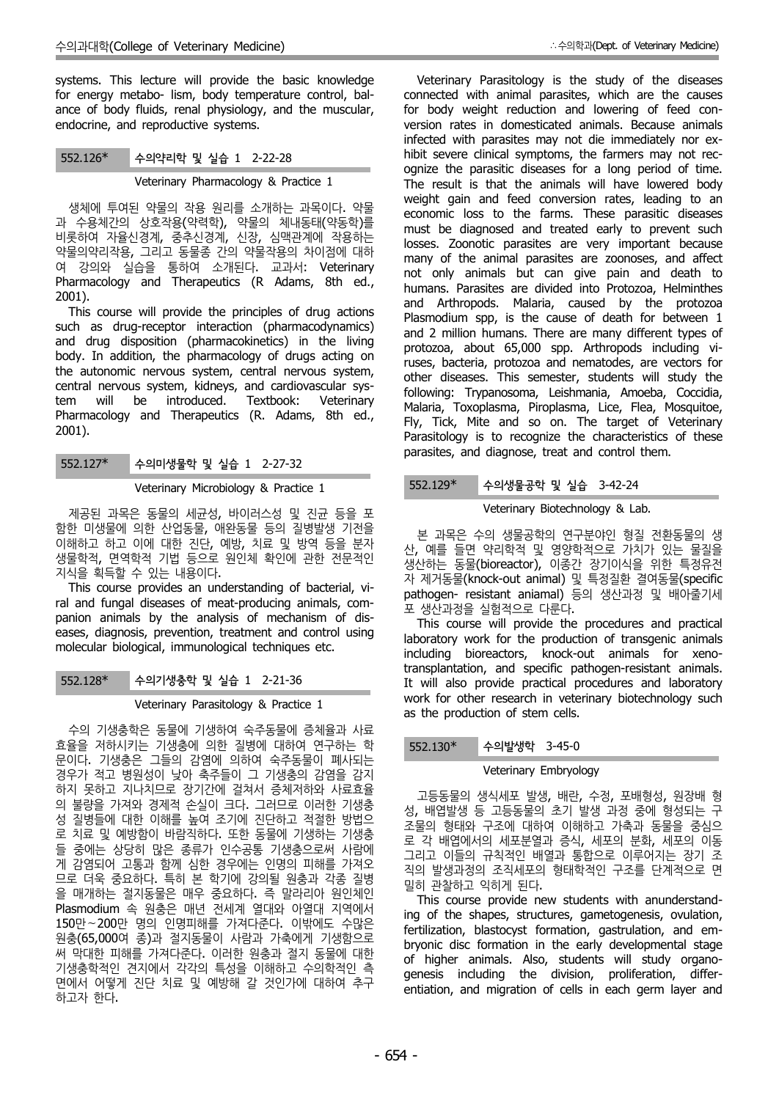systems. This lecture will provide the basic knowledge for energy metabo- lism, body temperature control, bal ance of body fluids, renal physiology, and the muscular, endocrine, and reproductive systems.

552.126\* 수의약리학 및 실습 1 2-22-28

## Veterinary Pharmacology & Practice 1

생체에 투여된 약물의 작용 원리를 소개하는 과목이다. 약물 과 수용체간의 상호작용(약력학), 약물의 체내동태(약동학)를 비롯하여 자율신경계, 중추신경계, 신장, 심맥관계에 작용하는 약물의약리작용, 그리고 동물종 간의 약물작용의 차이점에 대하 여 강의와 실습을 통하여 소개된다. 교과서: Veterinary Pharmacology and Therapeutics (R Adams, 8th ed., 2001).

This course will provide the principles of drug actions such as drug-receptor interaction (pharmacodynamics) and drug disposition (pharmacokinetics) in the living body. In addition, the pharmacology of drugs acting on the autonomic nervous system, central nervous system, central nervous system, kidneys, and cardiovascular system will be introduced. Textbook: Veterinary tem will be introduced. Pharmacology and Therapeutics (R. Adams, 8th ed., 2001).

# 552.127\* 수의미생물학 및 실습 1 2-27-32

Veterinary Microbiology & Practice 1

제공된 과목은 동물의 세균성, 바이러스성 및 진균 등을 포 함한 미생물에 의한 산업동물, 애완동물 등의 질병발생 기전을 이해하고 하고 이에 대한 진단, 예방, 치료 및 방역 등을 분자 생물학적, 면역학적 기법 등으로 원인체 확인에 관한 전문적인 지식을 획득할 수 있는 내용이다.

This course provides an understanding of bacterial, viral and fungal diseases of meat-producing animals, com panion animals by the analysis of mechanism of dis eases, diagnosis, prevention, treatment and control using molecular biological, immunological techniques etc.

# 552.128\* 수의기생충학 및 실습 1 2-21-36

### Veterinary Parasitology & Practice 1

수의 기생충학은 동물에 기생하여 숙주동물에 증체율과 사료 효율을 저하시키는 기생충에 의한 질병에 대하여 연구하는 학 문이다. 기생충은 그들의 감염에 의하여 숙주동물이 폐사되는 경우가 적고 병원성이 낮아 축주들이 그 기생충의 감염을 감지 하지 못하고 지나치므로 장기간에 걸쳐서 증체저하와 사료효율 의 불량을 가져와 경제적 손실이 크다. 그러므로 이러한 기생충 성 질병들에 대한 이해를 높여 조기에 진단하고 적절한 방법으 로 치료 및 예방함이 바람직하다. 또한 동물에 기생하는 기생충 들 중에는 상당히 많은 종류가 인수공통 기생충으로써 사람에 게 감염되어 고통과 함께 심한 경우에는 인명의 피해를 가져오 므로 더욱 중요하다. 특히 본 학기에 강의될 원충과 각종 질병 을 매개하는 절지동물은 매우 중요하다. 즉 말라리아 원인체인 Plasmodium 속 원충은 매년 전세계 열대와 아열대 지역에서 150만∼200만 명의 인명피해를 가져다준다. 이밖에도 수많은 원충(65,000여 종)과 절지동물이 사람과 가축에게 기생함으로 써 막대한 피해를 가져다준다. 이러한 원충과 절지 동물에 대한 기생충학적인 견지에서 각각의 특성을 이해하고 수의학적인 측 면에서 어떻게 진단 치료 및 예방해 갈 것인가에 대하여 추구 하고자 한다.

Veterinary Parasitology is the study of the diseases connected with animal parasites, which are the causes for body weight reduction and lowering of feed con version rates in domesticated animals. Because animals infected with parasites may not die immediately nor ex hibit severe clinical symptoms, the farmers may not rec ognize the parasitic diseases for a long period of time. The result is that the animals will have lowered body weight gain and feed conversion rates, leading to an economic loss to the farms. These parasitic diseases must be diagnosed and treated early to prevent such losses. Zoonotic parasites are very important because many of the animal parasites are zoonoses, and affect not only animals but can give pain and death to humans. Parasites are divided into Protozoa, Helminthes and Arthropods. Malaria, caused by the protozoa Plasmodium spp, is the cause of death for between 1 and 2 million humans. There are many different types of protozoa, about 65,000 spp. Arthropods including viruses, bacteria, protozoa and nematodes, are vectors for other diseases. This semester, students will study the following: Trypanosoma, Leishmania, Amoeba, Coccidia, Malaria, Toxoplasma, Piroplasma, Lice, Flea, Mosquitoe, Fly, Tick, Mite and so on. The target of Veterinary Parasitology is to recognize the characteristics of these parasites, and diagnose, treat and control them.

# 552.129\* 수의생물공학 및 실습 3-42-24

# Veterinary Biotechnology & Lab.

본 과목은 수의 생물공학의 연구분야인 형질 전환동물의 생 산, 예를 들면 약리학적 및 영양학적으로 가치가 있는 물질을 생산하는 동물(bioreactor), 이종간 장기이식을 위한 특정유전 자 제거동물(knock-out animal) 및 특정질환 결여동물(specific pathogen- resistant aniamal) 등의 생산과정 및 배아줄기세 포 생산과정을 실험적으로 다룬다.

This course will provide the procedures and practical laboratory work for the production of transgenic animals including bioreactors, knock-out animals for xenotransplantation, and specific pathogen-resistant animals. It will also provide practical procedures and laboratory work for other research in veterinary biotechnology such as the production of stem cells.

# 수의발생학 3-45-0

# Veterinary Embryology

고등동물의 생식세포 발생, 배란, 수정, 포배형성, 원장배 형 성, 배엽발생 등 고등동물의 초기 발생 과정 중에 형성되는 구 조물의 형태와 구조에 대하여 이해하고 가축과 동물을 중심으 로 각 배엽에서의 세포분열과 증식, 세포의 분화, 세포의 이동 그리고 이들의 규칙적인 배열과 통합으로 이루어지는 장기 조 직의 발생과정의 조직세포의 형태학적인 구조를 단계적으로 면 밀히 관찰하고 익히게 된다.

This course provide new students with anunderstanding of the shapes, structures, gametogenesis, ovulation, fertilization, blastocyst formation, gastrulation, and em bryonic disc formation in the early developmental stage of higher animals. Also, students will study organo genesis including the division, proliferation, differ entiation, and migration of cells in each germ layer and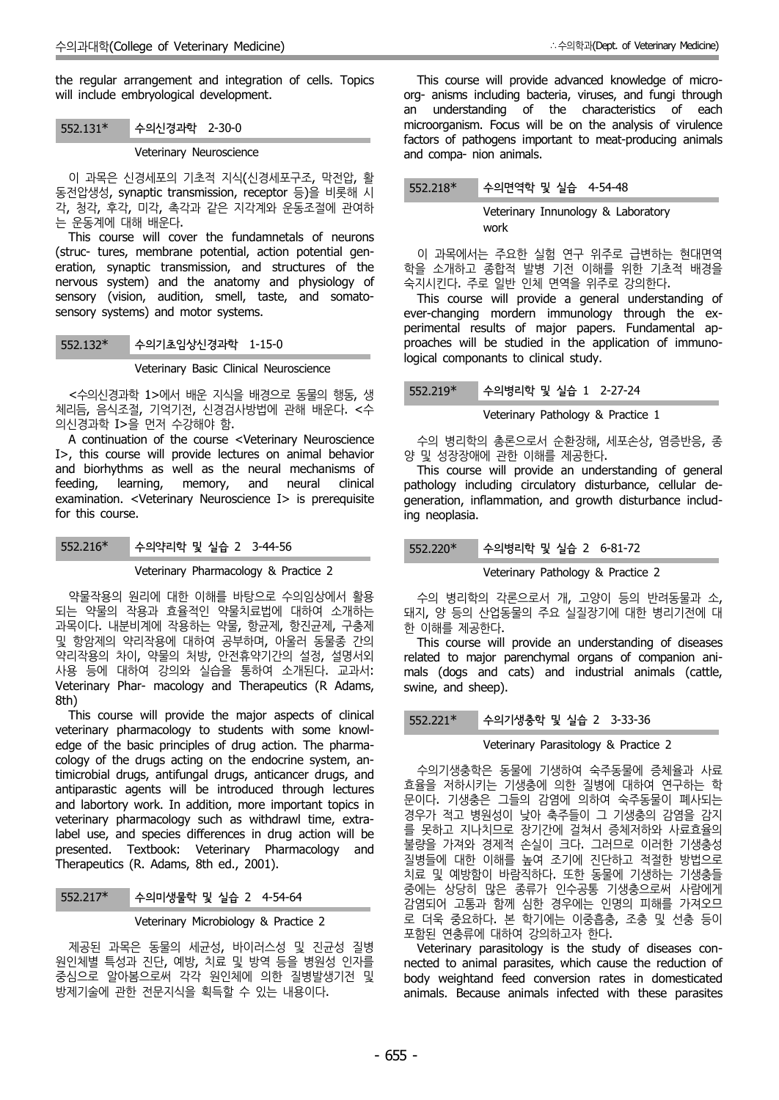the regular arrangement and integration of cells. Topics will include embryological development.

### 552.131\* 수의신경과학 2-30-0

#### Veterinary Neuroscience

이 과목은 신경세포의 기초적 지식(신경세포구조, 막전압, 활<br>건안생성 curantic transmission resenter 등)을 비르레 시 552,218\* 동전압생성, synaptic transmission, receptor 등)을 비롯해 시 각, 청각, 후각, 미각, 촉각과 같은 지각계와 운동조절에 관여하 는 운동계에 대해 배운다.

This course will cover the fundamnetals of neurons (struc- tures, membrane potential, action potential gen eration, synaptic transmission, and structures of the nervous system) and the anatomy and physiology of sensory (vision, audition, smell, taste, and somato sensory systems) and motor systems.

### 552.132\* 수의기초임상신경과학 1-15-0

#### Veterinary Basic Clinical Neuroscience

<수의신경과학 1>에서 배운 지식을 배경으로 동물의 행동, 생 체리듬, 음식조절, 기억기전, 신경검사방법에 관해 배운다. <수 의신경과학 I>을 먼저 수강해야 함.

A continuation of the course <Veterinary Neuroscience I>, this course will provide lectures on animal behavior and biorhythms as well as the neural mechanisms of feeding, learning, memory, and neural clinical examination. <Veterinary Neuroscience I> is prerequisite for this course.

552.216\* 수의약리학 및 실습 2 3-44-56

### Veterinary Pharmacology & Practice 2

약물작용의 원리에 대한 이해를 바탕으로 수의임상에서 활용 되는 약물의 작용과 효율적인 약물치료법에 대하여 소개하는 과목이다. 내분비계에 작용하는 약물, 항균제, 항진균제, 구충제 및 항암제의 약리작용에 대하여 공부하며, 아울러 동물종 간의 약리작용의 차이, 약물의 처방, 안전휴약기간의 설정, 설명서외 사용 등에 대하여 강의와 실습을 통하여 소개된다. 교과서: Veterinary Phar- macology and Therapeutics (R Adams, 8th)

This course will provide the major aspects of clinical veterinary pharmacology to students with some knowl edge of the basic principles of drug action. The pharma cology of the drugs acting on the endocrine system, antimicrobial drugs, antifungal drugs, anticancer drugs, and antiparastic agents will be introduced through lectures and labortory work. In addition, more important topics in veterinary pharmacology such as withdrawl time, extralabel use, and species differences in drug action will be presented. Textbook: Veterinary Pharmacology and Therapeutics (R. Adams, 8th ed., 2001).

# 552.217\* 수의미생물학 및 실습 2 4-54-64

### Veterinary Microbiology & Practice 2

제공된 과목은 동물의 세균성, 바이러스성 및 진균성 질병 원인체별 특성과 진단, 예방, 치료 및 방역 등을 병원성 인자를 중심으로 알아봄으로써 각각 원인체에 의한 질병발생기전 및 방제기술에 관한 전문지식을 획득할 수 있는 내용이다.

This course will provide advanced knowledge of micro org- anisms including bacteria, viruses, and fungi through an understanding of the characteristics of each microorganism. Focus will be on the analysis of virulence factors of pathogens important to meat-producing animals and compa- nion animals.

### 552.218\* 수의면역학 및 실습 4-54-48

Veterinary Innunology & Laboratory work

이 과목에서는 주요한 실험 연구 위주로 급변하는 현대면역 학을 소개하고 종합적 발병 기전 이해를 위한 기초적 배경을 숙지시킨다. 주로 일반 인체 면역을 위주로 강의한다.

This course will provide a general understanding of ever-changing mordern immunology through the ex perimental results of major papers. Fundamental ap proaches will be studied in the application of immunological componants to clinical study.

### 수의병리학 및 실습 1 2-27-24

### Veterinary Pathology & Practice 1

수의 병리학의 총론으로서 순환장해, 세포손상, 염증반응, 종 양 및 성장장애에 관한 이해를 제공한다.

This course will provide an understanding of general pathology including circulatory disturbance, cellular de generation, inflammation, and growth disturbance including neoplasia.

## 552.220\* 수의병리학 및 실습 2 6-81-72

### Veterinary Pathology & Practice 2

수의 병리학의 각론으로서 개, 고양이 등의 반려동물과 소, 돼지, 양 등의 산업동물의 주요 실질장기에 대한 병리기전에 대 한 이해를 제공한다.

This course will provide an understanding of diseases related to major parenchymal organs of companion ani mals (dogs and cats) and industrial animals (cattle, swine, and sheep).

## 552.221\* 수의기생충학 및 실습 2 3-33-36

## Veterinary Parasitology & Practice 2

수의기생충학은 동물에 기생하여 숙주동물에 증체율과 사료 효율을 저하시키는 기생충에 의한 질병에 대하여 연구하는 학 문이다. 기생충은 그들의 감염에 의하여 숙주동물이 폐사되는 경우가 적고 병원성이 낮아 축주들이 그 기생충의 감염을 감지 를 못하고 지나치므로 장기간에 걸쳐서 증체저하와 사료효율의 불량을 가져와 경제적 손실이 크다. 그러므로 이러한 기생충성 질병들에 대한 이해를 높여 조기에 진단하고 적절한 방법으로 치료 및 예방함이 바람직하다. 또한 동물에 기생하는 기생충들 중에는 상당히 많은 종류가 인수공통 기생충으로써 사람에게 감염되어 고통과 함께 심한 경우에는 인명의 피해를 가져오므 로 더욱 중요하다. 본 학기에는 이중흡충, 조충 및 선충 등이 포함된 연충류에 대하여 강의하고자 한다.

Veterinary parasitology is the study of diseases con nected to animal parasites, which cause the reduction of body weightand feed conversion rates in domesticated animals. Because animals infected with these parasites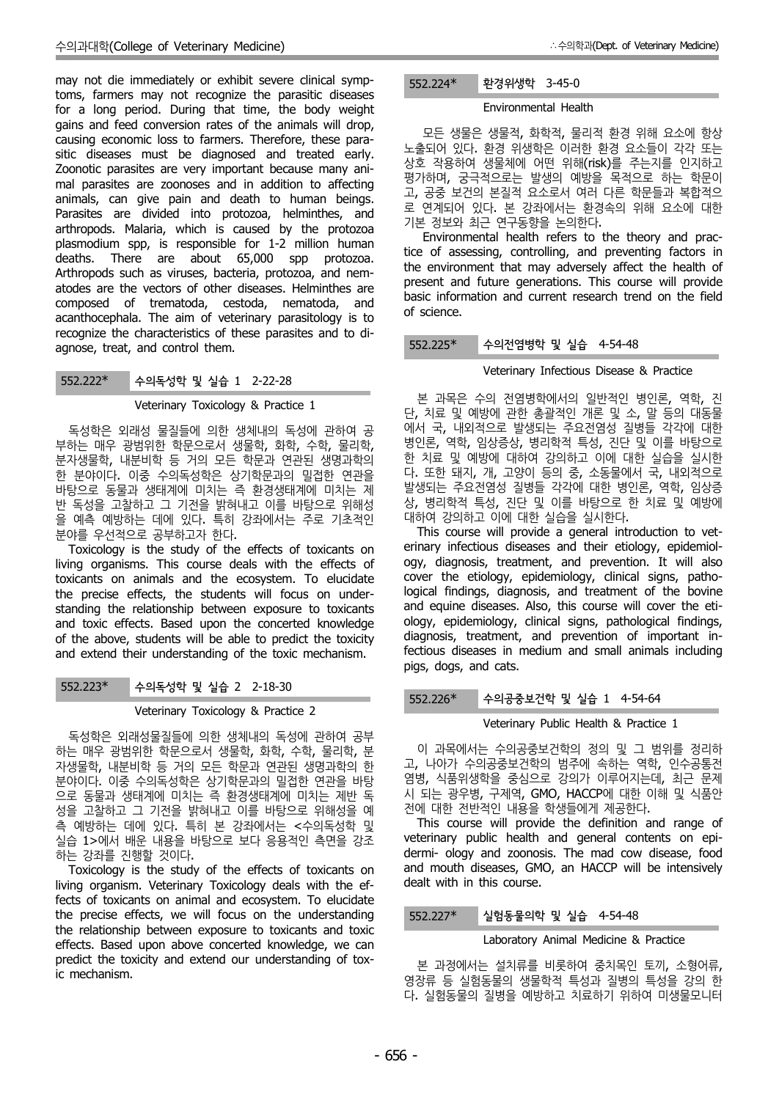may not die immediately or exhibit severe clinical symptoms, farmers may not recognize the parasitic diseases for a long period. During that time, the body weight gains and feed conversion rates of the animals will drop, causing economic loss to farmers. Therefore, these para sitic diseases must be diagnosed and treated early. Zoonotic parasites are very important because many ani mal parasites are zoonoses and in addition to affecting animals, can give pain and death to human beings. Parasites are divided into protozoa, helminthes, and arthropods. Malaria, which is caused by the protozoa plasmodium spp, is responsible for 1-2 million human deaths. There are about 65,000 spp protozoa. Arthropods such as viruses, bacteria, protozoa, and nem atodes are the vectors of other diseases. Helminthes are composed of trematoda, cestoda, nematoda, and acanthocephala. The aim of veterinary parasitology is to recognize the characteristics of these parasites and to di agnose, treat, and control them.

# 552.222\* 수의독성학 및 실습 1 2-22-28

### Veterinary Toxicology & Practice 1

독성학은 외래성 물질들에 의한 생체내의 독성에 관하여 공 부하는 매우 광범위한 학문으로서 생물학, 화학, 수학, 물리학, 분자생물학, 내분비학 등 거의 모든 학문과 연관된 생명과학의 한 분야이다. 이중 수의독성학은 상기학문과의 밀접한 연관을 바탕으로 동물과 생태계에 미치는 즉 환경생태계에 미치는 제 반 독성을 고찰하고 그 기전을 밝혀내고 이를 바탕으로 위해성 을 예측 예방하는 데에 있다. 특히 강좌에서는 주로 기초적인 분야를 우선적으로 공부하고자 한다.

Toxicology is the study of the effects of toxicants on living organisms. This course deals with the effects of toxicants on animals and the ecosystem. To elucidate the precise effects, the students will focus on under standing the relationship between exposure to toxicants and toxic effects. Based upon the concerted knowledge of the above, students will be able to predict the toxicity and extend their understanding of the toxic mechanism.

# 552.223\* 수의독성학 및 실습 2 2-18-30

### Veterinary Toxicology & Practice 2

독성학은 외래성물질들에 의한 생체내의 독성에 관하여 공부 하는 매우 광범위한 학문으로서 생물학, 화학, 수학, 물리학, 분 자생물학, 내분비학 등 거의 모든 학문과 연관된 생명과학의 한 분야이다. 이중 수의독성학은 상기학문과의 밀접한 연관을 바탕 으로 동물과 생태계에 미치는 즉 환경생태계에 미치는 제반 독 성을 고찰하고 그 기전을 밝혀내고 이를 바탕으로 위해성을 예 측 예방하는 데에 있다. 특히 본 강좌에서는 <수의독성학 및 실습 1>에서 배운 내용을 바탕으로 보다 응용적인 측면을 강조 하는 강좌를 진행할 것이다.

Toxicology is the study of the effects of toxicants on living organism. Veterinary Toxicology deals with the effects of toxicants on animal and ecosystem. To elucidate the precise effects, we will focus on the understanding the relationship between exposure to toxicants and toxic effects. Based upon above concerted knowledge, we can predict the toxicity and extend our understanding of toxic mechanism.

## 552.224\* 환경위생학 3-45-0

#### Environmental Health

모든 생물은 생물적, 화학적, 물리적 환경 위해 요소에 항상 노출되어 있다. 환경 위생학은 이러한 환경 요소들이 각각 또는 상호 작용하여 생물체에 어떤 위해(risk)를 주는지를 인지하고 평가하며, 궁극적으로는 발생의 예방을 목적으로 하는 학문이 고, 공중 보건의 본질적 요소로서 여러 다른 학문들과 복합적으 로 연계되어 있다. 본 강좌에서는 환경속의 위해 요소에 대한 기본 정보와 최근 연구동향을 논의한다.

Environmental health refers to the theory and practice of assessing, controlling, and preventing factors in the environment that may adversely affect the health of present and future generations. This course will provide basic information and current research trend on the field of science.

# 552.225\* 수의전염병학 및 실습 4-54-48

### Veterinary Infectious Disease & Practice

본 과목은 수의 전염병학에서의 일반적인 병인론, 역학, 진 단, 치료 및 예방에 관한 총괄적인 개론 및 소, 말 등의 대동물 에서 국, 내외적으로 발생되는 주요전염성 질병들 각각에 대한 병인론, 역학, 임상증상, 병리학적 특성, 진단 및 이를 바탕으로 한 치료 및 예방에 대하여 강의하고 이에 대한 실습을 실시한 다. 또한 돼지, 개, 고양이 등의 중, 소동물에서 국, 내외적으로 발생되는 주요전염성 질병들 각각에 대한 병인론, 역학, 임상증 상, 병리학적 특성, 진단 및 이를 바탕으로 한 치료 및 예방에 대하여 강의하고 이에 대한 실습을 실시한다.

This course will provide a general introduction to vet erinary infectious diseases and their etiology, epidemiol ogy, diagnosis, treatment, and prevention. It will also cover the etiology, epidemiology, clinical signs, pathological findings, diagnosis, and treatment of the bovine and equine diseases. Also, this course will cover the eti ology, epidemiology, clinical signs, pathological findings, diagnosis, treatment, and prevention of important infectious diseases in medium and small animals including pigs, dogs, and cats.

# 552.226\* 수의공중보건학 및 실습 1 4-54-64

# Veterinary Public Health & Practice 1

이 과목에서는 수의공중보건학의 정의 및 그 범위를 정리하 고, 나아가 수의공중보건학의 범주에 속하는 역학, 인수공통전 염병, 식품위생학을 중심으로 강의가 이루어지는데, 최근 문제 시 되는 광우병, 구제역, GMO, HACCP에 대한 이해 및 식품안 전에 대한 전반적인 내용을 학생들에게 제공한다.

This course will provide the definition and range of veterinary public health and general contents on epi dermi- ology and zoonosis. The mad cow disease, food and mouth diseases, GMO, an HACCP will be intensively dealt with in this course.

# 552.227\* 실험동물의학 및 실습 4-54-48

Laboratory Animal Medicine & Practice

본 과정에서는 설치류를 비롯하여 중치목인 토끼, 소형어류, 영장류 등 실험동물의 생물학적 특성과 질병의 특성을 강의 한 다. 실험동물의 질병을 예방하고 치료하기 위하여 미생물모니터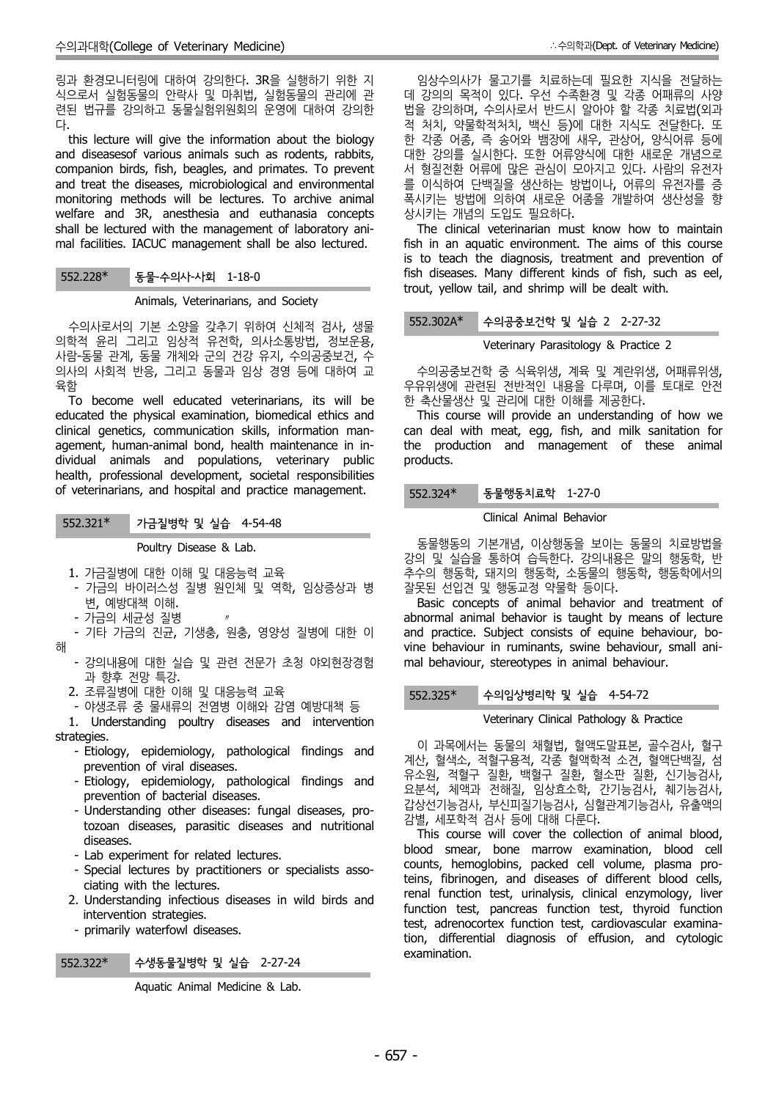링과 환경모니터링에 대하여 강의한다. 3R을 실행하기 위한 지 식으로서 실험동물의 안락사 및 마취법, 실험동물의 관리에 관 련된 법규를 강의하고 동물실험위원회의 운영에 대하여 강의한

다.<br>this lecture will give the information about the biology and diseasesof various animals such as rodents, rabbits, companion birds, fish, beagles, and primates. To prevent and treat the diseases, microbiological and environmental monitoring methods will be lectures. To archive animal welfare and 3R, anesthesia and euthanasia concepts shall be lectured with the management of laboratory ani mal facilities. IACUC management shall be also lectured.

# 552.228\* 동물-수의사-사회 1-18-0

Animals, Veterinarians, and Society

수의사로서의 기본 소양을 갖추기 위하여 신체적 검사, 생물 의학적 윤리 그리고 임상적 유전학, 의사소통방법, 정보운용, 사람-동물 관계, 동물 개체와 군의 건강 유지, 수의공중보건, 수 의사의 사회적 반응, 그리고 동물과 임상 경영 등에 대하여 교 육함

To become well educated veterinarians, its will be educated the physical examination, biomedical ethics and clinical genetics, communication skills, information man agement, human-animal bond, health maintenance in in dividual animals and populations, veterinary public health, professional development, societal responsibilities of veterinarians, and hospital and practice management.

552.321\* 가금질병학 및 실습 4-54-48

Poultry Disease & Lab.

- 1. 가금질병에 대한 이해 및 대응능력 교육
- 가금의 바이러스성 질병 원인체 및 역학, 임상증상과 병 변, 예방대책 이해. Poultry Disease & Lab.<br>. 가금질병에 대한 이해 및 대응능력 교육<br>- 가금의 바이러스성 질병 원인체 및 역학, 임상<br>- 한 예방대책 이해.<br>- 가금의 세균성 질병<br>- 기타 가금의 진균, 기생충, 원충, 영양성 질병어
- 
- 기타 가금의 진균, 기생충, 원충, 영양성 질병에 대한 이 해
	- 강의내용에 대한 실습 및 관련 전문가 초청 야외현장경험 과 향후 전망 특강.
	- 2. 조류질병에 대한 이해 및 대응능력 교육
	- 야생조류 중 물새류의 전염병 이해와 감염 예방대책 등

1. Understanding poultry diseases and intervention strategies.

- Etiology, epidemiology, pathological findings and
- prevention of viral diseases.<br>- Etiology, epidemiology, pathological findings and prevention of bacterial diseases.
- Understanding other diseases: fungal diseases, proonderstanding other diseases, rungar diseases, processed 감별, 세포학적 검사 등에 대해 다룬다.<br>tozoan diseases, parasitic diseases and nutritional 같고... diseases.
- Lab experiment for related lectures.
- Special lectures by practitioners or specialists asso ciating with the lectures.
- 2. Understanding infectious diseases in wild birds and intervention strategies.
- primarily waterfowl diseases.

```
552.322* 수생동물질병학 및 실습 2-27-24
```
Aquatic Animal Medicine & Lab.

임상수의사가 물고기를 치료하는데 필요한 지식을 전달하는 데 강의의 목적이 있다. 우선 수족환경 및 각종 어패류의 사양 법을 강의하며, 수의사로서 반드시 알아야 할 각종 치료법(외과 적 처치, 약물학적처치, 백신 등)에 대한 지식도 전달한다. 또 한 각종 어종, 즉 송어와 뱀장에 새우, 관상어, 양식어류 등에 대한 강의를 실시한다. 또한 어류양식에 대한 새로운 개념으로 서 형질전환 어류에 많은 관심이 모아지고 있다. 사람의 유전자 를 이식하여 단백질을 생산하는 방법이나, 어류의 유전자를 증 폭시키는 방법에 의하여 새로운 어종을 개발하여 생산성을 향 상시키는 개념의 도입도 필요하다.

The clinical veterinarian must know how to maintain fish in an aquatic environment. The aims of this course is to teach the diagnosis, treatment and prevention of fish diseases. Many different kinds of fish, such as eel, trout, yellow tail, and shrimp will be dealt with.

# 수의공중보건학 및 실습 2 2-27-32

Veterinary Parasitology & Practice 2

수의공중보건학 중 식육위생, 계육 및 계란위생, 어패류위생, 우유위생에 관련된 전반적인 내용을 다루며, 이를 토대로 안전 한 축산물생산 및 관리에 대한 이해를 제공한다.

This course will provide an understanding of how we can deal with meat, egg, fish, and milk sanitation for the production and management of these animal products.

# 552.324\* 동물행동치료학 1-27-0

### Clinical Animal Behavior

동물행동의 기본개념, 이상행동을 보이는 동물의 치료방법을 강의 및 실습을 통하여 습득한다. 강의내용은 말의 행동학, 반 추수의 행동학, 돼지의 행동학, 소동물의 행동학, 행동학에서의 잘못된 선입견 및 행동교정 약물학 등이다.

Basic concepts of animal behavior and treatment of abnormal animal behavior is taught by means of lecture and practice. Subject consists of equine behaviour, bo vine behaviour in ruminants, swine behaviour, small ani mal behaviour, stereotypes in animal behaviour.

# 552.325\* 수의임상병리학 및 실습 4-54-72

# Veterinary Clinical Pathology & Practice

이 과목에서는 동물의 채혈법, 혈액도말표본, 골수검사, 혈구 계산, 혈색소, 적혈구용적, 각종 혈액학적 소견, 혈액단백질, 섬 유소원, 적혈구 질환, 백혈구 질환, 혈소판 질환, 신기능검사, 요분석, 체액과 전해질, 임상효소학, 간기능검사, 췌기능검사, 갑상선기능검사, 부신피질기능검사, 심혈관계기능검사, 유출액의

This course will cover the collection of animal blood, blood smear, bone marrow examination, blood cell counts, hemoglobins, packed cell volume, plasma proteins, fibrinogen, and diseases of different blood cells, renal function test, urinalysis, clinical enzymology, liver function test, pancreas function test, thyroid function test, adrenocortex function test, cardiovascular examination, differential diagnosis of effusion, and cytologic examination.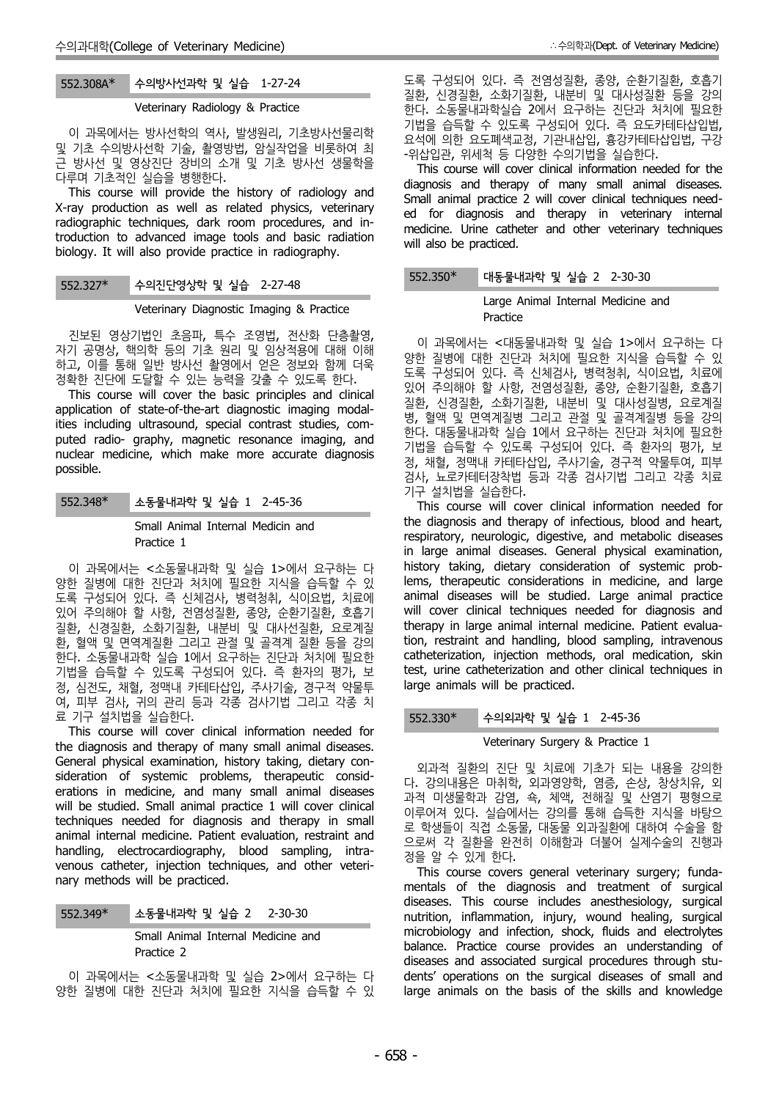# 552.308A\* 수의방사선과학 및 실습 1-27-24

### Veterinary Radiology & Practice

이 과목에서는 방사선학의 역사, 발생원리, 기초방사선물리학 및 기초 수의방사선학 기술, 촬영방법, 암실작업을 비롯하여 최 근 방사선 및 영상진단 장비의 소개 및 기초 방사선 생물학을 다루며 기초적인 실습을 병행한다.

This course will provide the history of radiology and X-ray production as well as related physics, veterinary radiographic techniques, dark room procedures, and introduction to advanced image tools and basic radiation biology. It will also provide practice in radiography.

# 552.327\* 수의진단영상학 및 실습 2-27-48

Veterinary Diagnostic Imaging & Practice

진보된 영상기법인 초음파, 특수 조영법, 전산화 단층촬영, 자기 공명상, 핵의학 등의 기초 원리 및 임상적용에 대해 이해 하고, 이를 통해 일반 방사선 촬영에서 얻은 정보와 함께 더욱 정확한 진단에 도달할 수 있는 능력을 갖출 수 있도록 한다.

This course will cover the basic principles and clinical application of state-of-the-art diagnostic imaging modalities including ultrasound, special contrast studies, com puted radio- graphy, magnetic resonance imaging, and nuclear medicine, which make more accurate diagnosis possible.

# 552.348\* 소동물내과학 및 실습 1 2-45-36

Small Animal Internal Medicin and Practice 1

이 과목에서는 <소동물내과학 및 실습 1>에서 요구하는 다 양한 질병에 대한 진단과 처치에 필요한 지식을 습득할 수 있 도록 구성되어 있다. 즉 신체검사, 병력청취, 식이요법, 치료에 있어 주의해야 할 사항, 전염성질환, 종양, 순환기질환, 호흡기 질환, 신경질환, 소화기질환, 내분비 및 대사선질환, 요로계질 환, 혈액 및 면역계질환 그리고 관절 및 골격계 질환 등을 강의 한다. 소동물내과학 실습 1에서 요구하는 진단과 처치에 필요한 기법을 습득할 수 있도록 구성되어 있다. 즉 환자의 평가, 보 정, 심전도, 채혈, 정맥내 카테타삽입, 주사기술, 경구적 약물투 여, 피부 검사, 귀의 관리 등과 각종 검사기법 그리고 각종 치 료 기구 설치법을 실습한다.

This course will cover clinical information needed for the diagnosis and therapy of many small animal diseases. General physical examination, history taking, dietary con sideration of systemic problems, therapeutic consid erations in medicine, and many small animal diseases will be studied. Small animal practice 1 will cover clinical techniques needed for diagnosis and therapy in small animal internal medicine. Patient evaluation, restraint and handling, electrocardiography, blood sampling, intra venous catheter, injection techniques, and other veteri nary methods will be practiced.

552.349\* 소동물내과학 및 실습 2 2-30-30

Small Animal Internal Medicine and Practice 2

이 과목에서는 <소동물내과학 및 실습 2>에서 요구하는 다 양한 질병에 대한 진단과 처치에 필요한 지식을 습득할 수 있 도록 구성되어 있다. 즉 전염성질환, 종양, 순환기질환, 호흡기 — T T O T T X T T 는급ㅎ듣는, ㅎㅎ, 는는 T E T — \_ T<br>질화, 시경질화, 소화기질화, 내분비 및 대사성질화 등을 강의 한다. 소동물내과학실습 2에서 요구하는 진단과 처치에 필요한 기법을 습득할 수 있도록 구성되어 있다. 즉 요도카테타삽입법, 요석에 의한 요도폐색교정, 기관내삽입, 흉강카테타삽입법, 구강 -위삽입관, 위세척 등 다양한 수의기법을 실습한다.

This course will cover clinical information needed for the diagnosis and therapy of many small animal diseases. Small animal practice 2 will cover clinical techniques need ed for diagnosis and therapy in veterinary internal medicine. Urine catheter and other veterinary techniques will also be practiced.

# 552.350\* 대동물내과학 및 실습 2 2-30-30

## Large Animal Internal Medicine and Practice

이 과목에서는 <대동물내과학 및 실습 1>에서 요구하는 다 양한 질병에 대한 진단과 처치에 필요한 지식을 습득할 수 있 도록 구성되어 있다. 즉 신체검사, 병력청취, 식이요법, 치료에 있어 주의해야 할 사항, 전염성질환, 종양, 순환기질환, 호흡기 질환, 신경질환, 소화기질환, 내분비 및 대사성질병, 요로계질 병, 혈액 및 면역계질병 그리고 관절 및 골격계질병 등을 강의 한다. 대동물내과학 실습 1에서 요구하는 진단과 처치에 필요한 기법을 습득할 수 있도록 구성되어 있다. 즉 환자의 평가, 보 정, 채혈, 정맥내 카테타삽입, 주사기술, 경구적 약물투여, 피부 검사, 뇨로카테터장착법 등과 각종 검사기법 그리고 각종 치료 기구 설치법을 실습한다.

This course will cover clinical information needed for the diagnosis and therapy of infectious, blood and heart, respiratory, neurologic, digestive, and metabolic diseases in large animal diseases. General physical examination, history taking, dietary consideration of systemic problems, therapeutic considerations in medicine, and large animal diseases will be studied. Large animal practice will cover clinical techniques needed for diagnosis and therapy in large animal internal medicine. Patient evaluation, restraint and handling, blood sampling, intravenous catheterization, injection methods, oral medication, skin test, urine catheterization and other clinical techniques in large animals will be practiced.

# 552.330\* 수의외과학 및 실습 1 2-45-36

### Veterinary Surgery & Practice 1

외과적 질환의 진단 및 치료에 기초가 되는 내용을 강의한 다. 강의내용은 마취학, 외과영양학, 염증, 손상, 창상치유, 외 과적 미생물학과 감염, 쇽, 체액, 전해질 및 산염기 평형으로 이루어져 있다. 실습에서는 강의를 통해 습득한 지식을 바탕으 로 학생들이 직접 소동물, 대동물 외과질환에 대하여 수술을 함 으로써 각 질환을 완전히 이해함과 더불어 실제수술의 진행과 정을 알 수 있게 한다.

This course covers general veterinary surgery; funda mentals of the diagnosis and treatment of surgical diseases. This course includes anesthesiology, surgical nutrition, inflammation, injury, wound healing, surgical microbiology and infection, shock, fluids and electrolytes balance. Practice course provides an understanding of diseases and associated surgical procedures through stu dents' operations on the surgical diseases of small and large animals on the basis of the skills and knowledge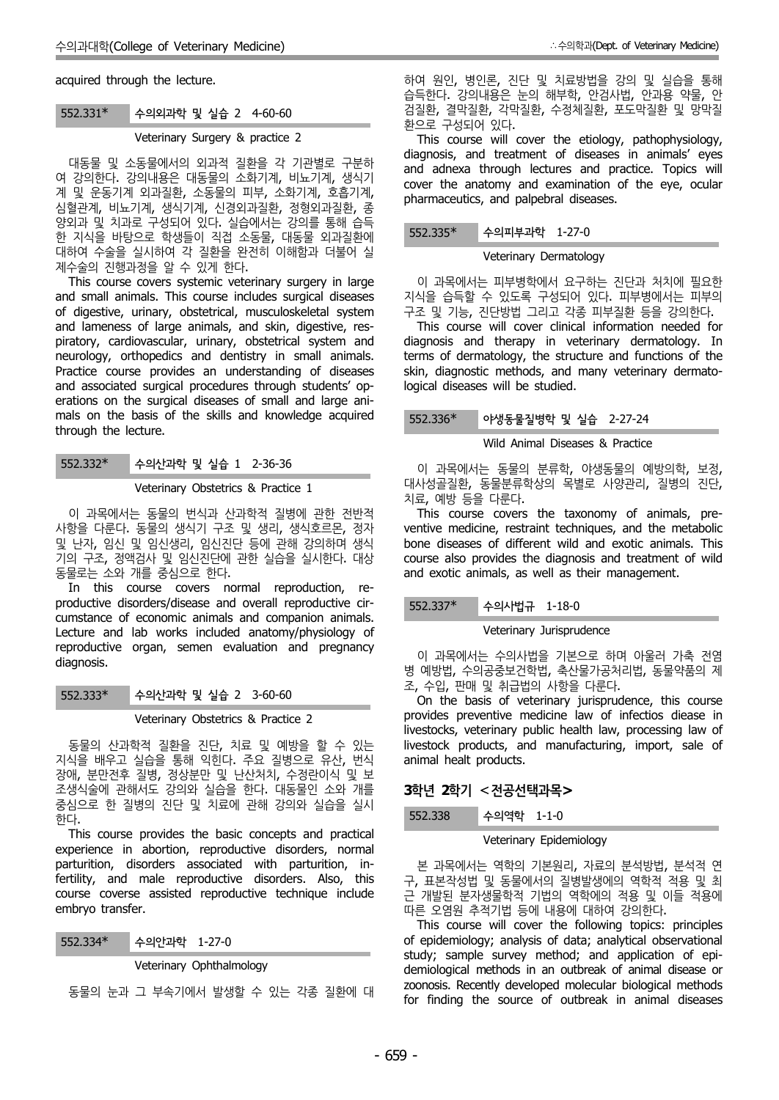acquired through the lecture.

| $552.331*$ | 수의외과학 및 실습 2 4-60-60 |  |
|------------|----------------------|--|
|------------|----------------------|--|

Veterinary Surgery & practice 2

대동물 및 소동물에서의 외과적 질환을 각 기관별로 구분하 여 강의한다. 강의내용은 대동물의 소화기계, 비뇨기계, 생식기 계 및 운동기계 외과질환, 소동물의 피부, 소화기계, 호흡기계, 심혈관계, 비뇨기계, 생식기계, 신경외과질환, 정형외과질환, 종 양외과 및 치과로 구성되어 있다. 실습에서는 강의를 통해 습득<br>한 기사은 바탕으로 한생들이 직접 소독을 대도를 의과직함에 2012-052-335\* 한 지식을 바탕으로 학생들이 직접 소동물, 대동물 외과질환에 대하여 수술을 실시하여 각 질환을 완전히 이해함과 더불어 실 제수술의 진행과정을 알 수 있게 한다.

This course covers systemic veterinary surgery in large and small animals. This course includes surgical diseases of digestive, urinary, obstetrical, musculoskeletal system and lameness of large animals, and skin, digestive, res piratory, cardiovascular, urinary, obstetrical system and neurology, orthopedics and dentistry in small animals. Practice course provides an understanding of diseases and associated surgical procedures through students' op erations on the surgical diseases of small and large ani mals on the basis of the skills and knowledge acquired through the lecture.

# 552.332\* 수의산과학 및 실습 1 2-36-36

Veterinary Obstetrics & Practice 1

이 과목에서는 동물의 번식과 산과학적 질병에 관한 전반적 사항을 다룬다. 동물의 생식기 구조 및 생리, 생식호르몬, 정자 및 난자, 임신 및 임신생리, 임신진단 등에 관해 강의하며 생식 기의 구조, 정액검사 및 임신진단에 관한 실습을 실시한다. 대상 동물로는 소와 개를 중심으로 한다. In this course covers normal reproduction, re-

productive disorders/disease and overall reproductive cir cumstance of economic animals and companion animals. Lecture and lab works included anatomy/physiology of reproductive organ, semen evaluation and pregnancy diagnosis.

### 552.333\* 수의산과학 및 실습 2 3-60-60

### Veterinary Obstetrics & Practice 2

동물의 산과학적 질환을 진단, 치료 및 예방을 할 수 있는 지식을 배우고 실습을 통해 익힌다. 주요 질병으로 유산, 번식 장애, 분만전후 질병, 정상분만 및 난산처치, 수정란이식 및 보 조생식술에 관해서도 강의와 실습을 한다. 대동물인 소와 개를 중심으로 한 질병의 진단 및 치료에 관해 강의와 실습을 실시

한다. This course provides the basic concepts and practical experience in abortion, reproductive disorders, normal parturition, disorders associated with parturition, infertility, and male reproductive disorders. Also, this course coverse assisted reproductive technique include embryo transfer.

### Veterinary Ophthalmology

동물의 눈과 그 부속기에서 발생할 수 있는 각종 질환에 대

하여 원인, 병인론, 진단 및 치료방법을 강의 및 실습을 통해 습득한다. 강의내용은 눈의 해부학, 안검사법, 안과용 약물, 안 검질환, 결막질환, 각막질환, 수정체질환, 포도막질환 및 망막질 환으로 구성되어 있다.

This course will cover the etiology, pathophysiology, diagnosis, and treatment of diseases in animals' eyes and adnexa through lectures and practice. Topics will cover the anatomy and examination of the eye, ocular pharmaceutics, and palpebral diseases.

### 552.335\* 수의피부과학 1-27-0

### Veterinary Dermatology

이 과목에서는 피부병학에서 요구하는 진단과 처치에 필요한 지식을 습득할 수 있도록 구성되어 있다. 피부병에서는 피부의 구조 및 기능, 진단방법 그리고 각종 피부질환 등을 강의한다.

This course will cover clinical information needed for diagnosis and therapy in veterinary dermatology. In terms of dermatology, the structure and functions of the skin, diagnostic methods, and many veterinary dermatological diseases will be studied.

| 552.336* | <sup>'</sup> 야생 <del>동물</del> 질병학 및 실습 2-27-24 |  |  |  |
|----------|------------------------------------------------|--|--|--|
|----------|------------------------------------------------|--|--|--|

### Wild Animal Diseases & Practice

이 과목에서는 동물의 분류학, 야생동물의 예방의학, 보정, 대사성골질환, 동물분류학상의 목별로 사양관리, 질병의 진단, 치료, 예방 등을 다룬다.

This course covers the taxonomy of animals, pre ventive medicine, restraint techniques, and the metabolic bone diseases of different wild and exotic animals. This course also provides the diagnosis and treatment of wild and exotic animals, as well as their management.

552.337\* 수의사법규 1-18-0

### Veterinary Jurisprudence

이 과목에서는 수의사법을 기본으로 하며 아울러 가축 전염 병 예방법, 수의공중보건학법, 축산물가공처리법, 동물약품의 제 조, 수입, 판매 및 취급법의 사항을 다룬다.

On the basis of veterinary jurisprudence, this course provides preventive medicine law of infectios diease in livestocks, veterinary public health law, processing law of livestock products, and manufacturing, import, sale of animal healt products.

**3학년 2학기** <**전공선택과목>**

552.338 수의역학 1-1-0

### Veterinary Epidemiology

본 과목에서는 역학의 기본원리, 자료의 분석방법, 분석적 연 구, 표본작성법 및 동물에서의 질병발생에의 역학적 적용 및 최 근 개발된 분자생물학적 기법의 역학에의 적용 및 이들 적용에 따른 오염원 추적기법 등에 내용에 대하여 강의한다.

This course will cover the following topics: principles of epidemiology; analysis of data; analytical observational study; sample survey method; and application of epi demiological methods in an outbreak of animal disease or zoonosis. Recently developed molecular biological methods for finding the source of outbreak in animal diseases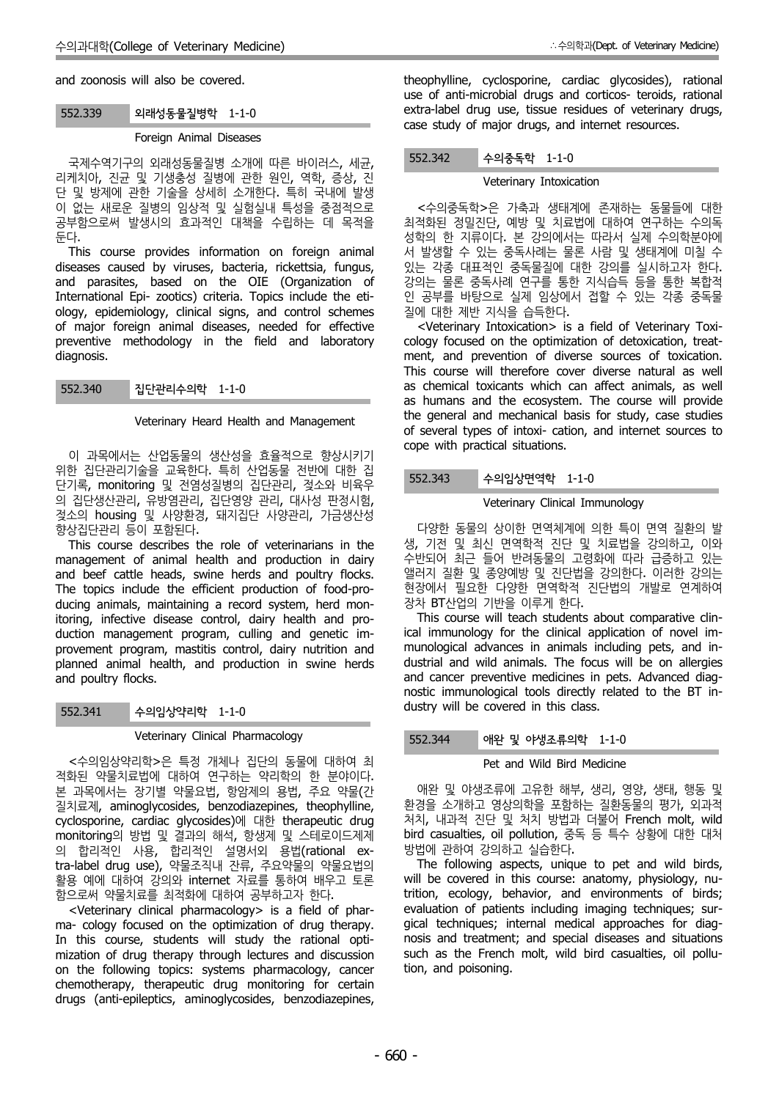and zoonosis will also be covered.

#### 552.339 외래성동물질병학 1-1-0

#### Foreign Animal Diseases

국제수역기구의 외래성동물질병 소개에 따른 바이러스, 세균, 리케치아, 진균 및 기생충성 질병에 관한 원인, 역학, 증상, 진 단 및 방제에 관한 기술을 상세히 소개한다. 특히 국내에 발생 이 없는 새로운 질병의 임상적 및 실험실내 특성을 중점적으로 공부함으로써 발생시의 효과적인 대책을 수립하는 데 목적을 둔다.

This course provides information on foreign animal diseases caused by viruses, bacteria, rickettsia, fungus, and parasites, based on the OIE (Organization of International Epi- zootics) criteria. Topics include the eti ology, epidemiology, clinical signs, and control schemes of major foreign animal diseases, needed for effective preventive methodology in the field and laboratory diagnosis.

| 552.340 | 집단관리수의학 1-1-0 |  |
|---------|---------------|--|
|---------|---------------|--|

#### Veterinary Heard Health and Management

이 과목에서는 산업동물의 생산성을 효율적으로 향상시키기 위한 집단관리기술을 교육한다. 특히 산업동물 전반에 대한 집 단기록, monitoring 및 전염성질병의 집단관리, 젖소와 비육우 의 집단생산관리, 유방염관리, 집단영양 관리, 대사성 판정시험, 젖소의 housing 및 사양환경, 돼지집단 사양관리, 가금생산성 향상집단관리 등이 포함된다.

This course describes the role of veterinarians in the management of animal health and production in dairy and beef cattle heads, swine herds and poultry flocks. The topics include the efficient production of food-pro ducing animals, maintaining a record system, herd monitoring, infective disease control, dairy health and pro duction management program, culling and genetic im provement program, mastitis control, dairy nutrition and planned animal health, and production in swine herds and poultry flocks.

### 552.341 수의임상약리학 1-1-0

#### Veterinary Clinical Pharmacology

<수의임상약리학>은 특정 개체나 집단의 동물에 대하여 최 적화된 약물치료법에 대하여 연구하는 약리학의 한 분야이다. 본 과목에서는 장기별 약물요법, 항암제의 용법, 주요 약물(간 질치료제, aminoglycosides, benzodiazepines, theophylline, cyclosporine, cardiac glycosides)에 대한 therapeutic drug monitoring의 방법 및 결과의 해석, 항생제 및 스테로이드제제 의 합리적인 사용, 합리적인 설명서외 용법(rational extra-label drug use), 약물조직내 잔류, 주요약물의 약물요법의 활용 예에 대하여 강의와 internet 자료를 통하여 배우고 토론 함으로써 약물치료를 최적화에 대하여 공부하고자 한다.

<Veterinary clinical pharmacology> is a field of phar ma- cology focused on the optimization of drug therapy. In this course, students will study the rational opti mization of drug therapy through lectures and discussion on the following topics: systems pharmacology, cancer chemotherapy, therapeutic drug monitoring for certain drugs (anti-epileptics, aminoglycosides, benzodiazepines, theophylline, cyclosporine, cardiac glycosides), rational use of anti-microbial drugs and corticos- teroids, rational extra-label drug use, tissue residues of veterinary drugs, case study of major drugs, and internet resources.

### 552.342 수의중독학 1-1-0

#### Veterinary Intoxication

<수의중독학>은 가축과 생태계에 존재하는 동물들에 대한 최적화된 정밀진단, 예방 및 치료법에 대하여 연구하는 수의독 성학의 한 지류이다. 본 강의에서는 따라서 실제 수의학분야에 서 발생할 수 있는 중독사례는 물론 사람 및 생태계에 미칠 수 있는 각종 대표적인 중독물질에 대한 강의를 실시하고자 한다. 강의는 물론 중독사례 연구를 통한 지식습득 등을 통한 복합적 인 공부를 바탕으로 실제 임상에서 접할 수 있는 각종 중독물 질에 대한 제반 지식을 습득한다.

<Veterinary Intoxication> is a field of Veterinary Toxicology focused on the optimization of detoxication, treat ment, and prevention of diverse sources of toxication. This course will therefore cover diverse natural as well as chemical toxicants which can affect animals, as well as humans and the ecosystem. The course will provide the general and mechanical basis for study, case studies of several types of intoxi- cation, and internet sources to cope with practical situations.

### 552.343 수의임상면역학 1-1-0

### Veterinary Clinical Immunology

다양한 동물의 상이한 면역체계에 의한 특이 면역 질환의 발 생, 기전 및 최신 면역학적 진단 및 치료법을 강의하고, 이와 수반되어 최근 들어 반려동물의 고령화에 따라 급증하고 있는 앨러지 질환 및 종양예방 및 진단법을 강의한다. 이러한 강의는 현장에서 필요한 다양한 면역학적 진단법의 개발로 연계하여 장차 BT산업의 기반을 이루게 한다.

This course will teach students about comparative clinical immunology for the clinical application of novel im munological advances in animals including pets, and in dustrial and wild animals. The focus will be on allergies and cancer preventive medicines in pets. Advanced diag nostic immunological tools directly related to the BT in dustry will be covered in this class.

# 552.344 애완 및 야생조류의학 1-1-0

### Pet and Wild Bird Medicine

애완 및 야생조류에 고유한 해부, 생리, 영양, 생태, 행동 및 환경을 소개하고 영상의학을 포함하는 질환동물의 평가, 외과적 처치, 내과적 진단 및 처치 방법과 더불어 French molt, wild bird casualties, oil pollution, 중독 등 특수 상황에 대한 대처 방법에 관하여 강의하고 실습한다.

The following aspects, unique to pet and wild birds, will be covered in this course: anatomy, physiology, nutrition, ecology, behavior, and environments of birds; evaluation of patients including imaging techniques; sur gical techniques; internal medical approaches for diag nosis and treatment; and special diseases and situations such as the French molt, wild bird casualties, oil pollution, and poisoning.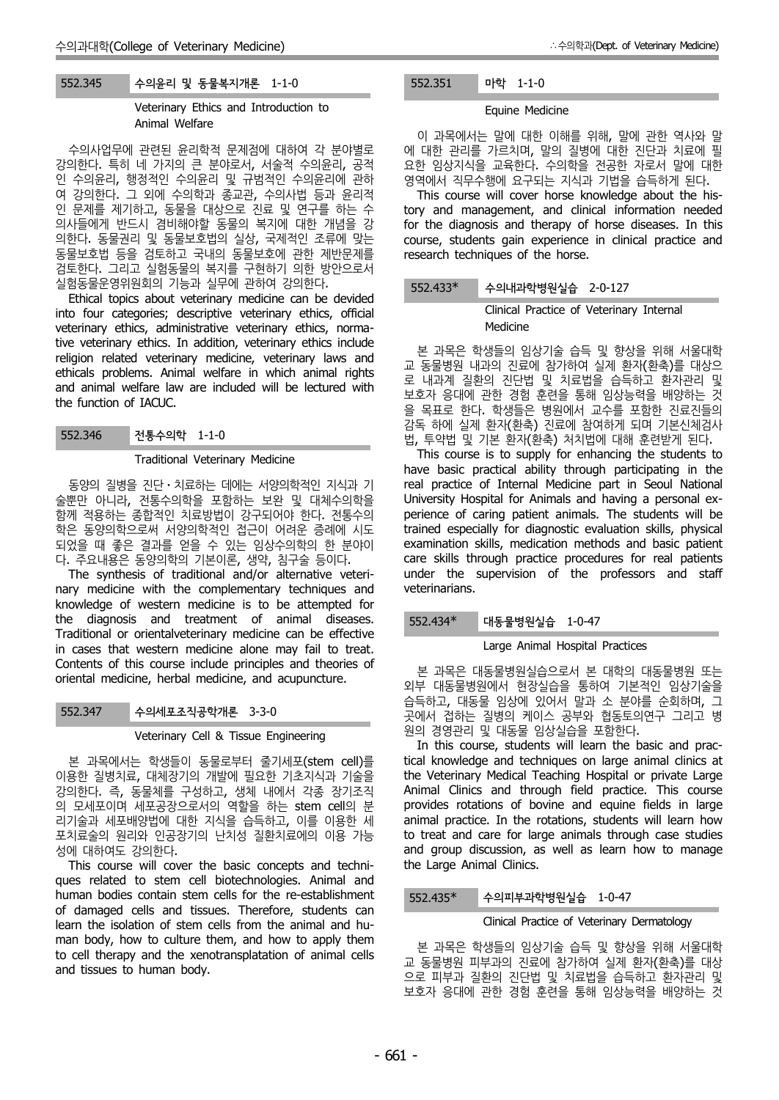# 552.345 수의윤리 및 동물복지개론 1-1-0

### Veterinary Ethics and Introduction to Animal Welfare

수의사업무에 관련된 윤리학적 문제점에 대하여 각 분야별로 강의한다. 특히 네 가지의 큰 분야로서, 서술적 수의윤리, 공적 인 수의윤리, 행정적인 수의윤리 및 규범적인 수의윤리에 관하 여 강의한다. 그 외에 수의학과 종교관, 수의사법 등과 윤리적 인 문제를 제기하고, 동물을 대상으로 진료 및 연구를 하는 수 의사들에게 반드시 겸비해야할 동물의 복지에 대한 개념을 강 의한다. 동물권리 및 동물보호법의 실상, 국제적인 조류에 맞는 동물보호법 등을 검토하고 국내의 동물보호에 관한 제반문제를 검토한다. 그리고 실험동물의 복지를 구현하기 의한 방안으로서 실험동물운영위원회의 기능과 실무에 관하여 강의한다.

Ethical topics about veterinary medicine can be devided into four categories; descriptive veterinary ethics, official veterinary ethics, administrative veterinary ethics, normative veterinary ethics. In addition, veterinary ethics include religion related veterinary medicine, veterinary laws and ethicals problems. Animal welfare in which animal rights and animal welfare law are included will be lectured with the function of IACUC.

552.346 전통수의학 1-1-0

## Traditional Veterinary Medicine

동양의 질병을 진단⋅치료하는 데에는 서양의학적인 지식과 기 술뿐만 아니라, 전통수의학을 포함하는 보완 및 대체수의학을 함께 적용하는 종합적인 치료방법이 강구되어야 한다. 전통수의 학은 동양의학으로써 서양의학적인 접근이 어려운 증례에 시도 되었을 때 좋은 결과를 얻을 수 있는 임상수의학의 한 분야이 다. 주요내용은 동양의학의 기본이론, 생약, 침구술 등이다.

The synthesis of traditional and/or alternative veteri nary medicine with the complementary techniques and knowledge of western medicine is to be attempted for the diagnosis and treatment of animal diseases. Traditional or orientalveterinary medicine can be effective in cases that western medicine alone may fail to treat. Contents of this course include principles and theories of oriental medicine, herbal medicine, and acupuncture.

# 552.347 수의세포조직공학개론 3-3-0

### Veterinary Cell & Tissue Engineering

본 과목에서는 학생들이 동물로부터 줄기세포(stem cell)를 이용한 질병치료, 대체장기의 개발에 필요한 기초지식과 기술을 강의한다. 즉, 동물체를 구성하고, 생체 내에서 각종 장기조직 의 모세포이며 세포공장으로서의 역할을 하는 stem cell의 분 리기술과 세포배양법에 대한 지식을 습득하고, 이를 이용한 세 포치료술의 원리와 인공장기의 난치성 질환치료에의 이용 가능 성에 대하여도 강의한다.

This course will cover the basic concepts and techni ques related to stem cell biotechnologies. Animal and human bodies contain stem cells for the re-establishment of damaged cells and tissues. Therefore, students can learn the isolation of stem cells from the animal and hu man body, how to culture them, and how to apply them to cell therapy and the xenotransplatation of animal cells and tissues to human body.

#### 552.351 마학 1-1-0

#### Equine Medicine

이 과목에서는 말에 대한 이해를 위해, 말에 관한 역사와 말 에 대한 관리를 가르치며, 말의 질병에 대한 진단과 치료에 필 요한 임상지식을 교육한다. 수의학을 전공한 자로서 말에 대한

This course will cover horse knowledge about the history and management, and clinical information needed for the diagnosis and therapy of horse diseases. In this course, students gain experience in clinical practice and research techniques of the horse.

### 552.433\* 수의내과학병원실습 2-0-127

### Clinical Practice of Veterinary Internal Medicine

본 과목은 학생들의 임상기술 습득 및 향상을 위해 서울대학 교 동물병원 내과의 진료에 참가하여 실제 환자(환축)를 대상으 로 내과계 질환의 진단법 및 치료법을 습득하고 환자관리 및 보호자 응대에 관한 경험 훈련을 통해 임상능력을 배양하는 것 을 목표로 한다. 학생들은 병원에서 교수를 포함한 진료진들의 감독 하에 실제 환자(환축) 진료에 참여하게 되며 기본신체검사 <sup>법</sup>, 투약법 및 기본 환자(환축) 처치법에 대해 훈련받게 된다. This course is to supply for enhancing the students to

have basic practical ability through participating in the real practice of Internal Medicine part in Seoul National University Hospital for Animals and having a personal ex perience of caring patient animals. The students will be trained especially for diagnostic evaluation skills, physical examination skills, medication methods and basic patient care skills through practice procedures for real patients under the supervision of the professors and staff veterinarians.

# 552.434\* 대동물병원실습 1-0-47

### Large Animal Hospital Practices

본 과목은 대동물병원실습으로서 본 대학의 대동물병원 또는 외부 대동물병원에서 현장실습을 통하여 기본적인 임상기술을 습득하고, 대동물 임상에 있어서 말과 소 분야를 순회하며, 그 곳에서 접하는 질병의 케이스 공부와 협동토의연구 그리고 병 원의 경영관리 및 대동물 임상실습을 포함한다.

In this course, students will learn the basic and practical knowledge and techniques on large animal clinics at the Veterinary Medical Teaching Hospital or private Large Animal Clinics and through field practice. This course provides rotations of bovine and equine fields in large animal practice. In the rotations, students will learn how to treat and care for large animals through case studies and group discussion, as well as learn how to manage the Large Animal Clinics.

# 552.435\* 수의피부과학병원실습 1-0-47

### Clinical Practice of Veterinary Dermatology

본 과목은 학생들의 임상기술 습득 및 향상을 위해 서울대학 교 동물병원 피부과의 진료에 참가하여 실제 환자(환축)를 대상 으로 피부과 질환의 진단법 및 치료법을 습득하고 환자관리 및 보호자 응대에 관한 경험 훈련을 통해 임상능력을 배양하는 것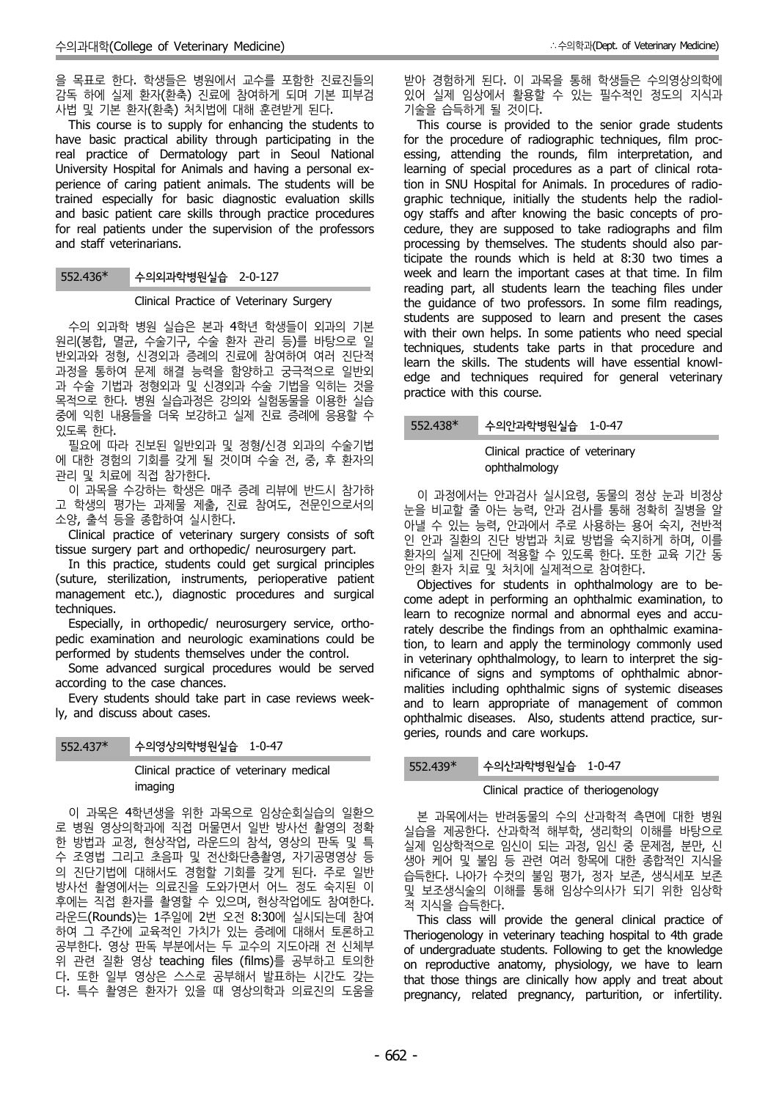을 목표로 한다. 학생들은 병원에서 교수를 포함한 진료진들의 감독 하에 실제 환자(환축) 진료에 참여하게 되며 기본 피부검

사법 및 기본 환자(환축) 처치법에 대해 훈련받게 된다. This course is to supply for enhancing the students to have basic practical ability through participating in the real practice of Dermatology part in Seoul National University Hospital for Animals and having a personal ex perience of caring patient animals. The students will be trained especially for basic diagnostic evaluation skills and basic patient care skills through practice procedures for real patients under the supervision of the professors and staff veterinarians.

# 552.436\* 수의외과학병원실습 2-0-127

Clinical Practice of Veterinary Surgery

수의 외과학 병원 실습은 본과 4학년 학생들이 외과의 기본 원리(봉합, 멸균, 수술기구, 수술 환자 관리 등)를 바탕으로 일 반외과와 정형, 신경외과 증례의 진료에 참여하여 여러 진단적 과정을 통하여 문제 해결 능력을 함양하고 궁극적으로 일반외 과 수술 기법과 정형외과 및 신경외과 수술 기법을 익히는 것을 목적으로 한다. 병원 실습과정은 강의와 실험동물을 이용한 실습 중에 익힌 내용들을 더욱 보강하고 실제 진료 증례에 응용할 수 있도록 한다.

필요에 따라 진보된 일반외과 및 정형/신경 외과의 수술기법 에 대한 경험의 기회를 갖게 될 것이며 수술 전, 중, 후 환자의 관리 및 치료에 직접 참가한다.

이 과목을 수강하는 학생은 매주 증례 리뷰에 반드시 참가하 고 학생의 평가는 과제물 제출, 진료 참여도, 전문인으로서의 소양, 출석 등을 종합하여 실시한다.

Clinical practice of veterinary surgery consists of soft tissue surgery part and orthopedic/ neurosurgery part.

In this practice, students could get surgical principles (suture, sterilization, instruments, perioperative patient management etc.), diagnostic procedures and surgical techniques.

Especially, in orthopedic/ neurosurgery service, ortho pedic examination and neurologic examinations could be performed by students themselves under the control.

Some advanced surgical procedures would be served according to the case chances.

Every students should take part in case reviews weekly, and discuss about cases.

# 552.437\* 수의영상의학병원실습 1-0-47

Clinical practice of veterinary medical imaging

이 과목은 4학년생을 위한 과목으로 임상순회실습의 일환으 로 병원 영상의학과에 직접 머물면서 일반 방사선 촬영의 정확 한 방법과 교정, 현상작업, 라운드의 참석, 영상의 판독 및 특 수 조영법 그리고 초음파 및 전산화단층촬영, 자기공명영상 등 의 진단기법에 대해서도 경험할 기회를 갖게 된다. 주로 일반 방사선 촬영에서는 의료진을 도와가면서 어느 정도 숙지된 이 후에는 직접 환자를 촬영할 수 있으며, 현상작업에도 참여한다. 라운드(Rounds)는 1주일에 2번 오전 8:30에 실시되는데 참여 하여 그 주간에 교육적인 가치가 있는 증례에 대해서 토론하고 공부한다. 영상 판독 부분에서는 두 교수의 지도아래 전 신체부 위 관련 질환 영상 teaching files (films)를 공부하고 토의한 다. 또한 일부 영상은 스스로 공부해서 발표하는 시간도 갖는 다. 특수 촬영은 환자가 있을 때 영상의학과 의료진의 도움을 받아 경험하게 된다. 이 과목을 통해 학생들은 수의영상의학에 있어 실제 임상에서 활용할 수 있는 필수적인 정도의 지식과 기술을 습득하게 될 것이다.

This course is provided to the senior grade students for the procedure of radiographic techniques, film proc essing, attending the rounds, film interpretation, and learning of special procedures as a part of clinical rotation in SNU Hospital for Animals. In procedures of radio graphic technique, initially the students help the radiol ogy staffs and after knowing the basic concepts of pro cedure, they are supposed to take radiographs and film processing by themselves. The students should also participate the rounds which is held at 8:30 two times a week and learn the important cases at that time. In film reading part, all students learn the teaching files under the guidance of two professors. In some film readings, students are supposed to learn and present the cases with their own helps. In some patients who need special techniques, students take parts in that procedure and learn the skills. The students will have essential knowl edge and techniques required for general veterinary practice with this course.

# 552.438\* 수의안과학병원실습 1-0-47

# Clinical practice of veterinary ophthalmology

이 과정에서는 안과검사 실시요령, 동물의 정상 눈과 비정상 눈을 비교할 줄 아는 능력, 안과 검사를 통해 정확히 질병을 알 아낼 수 있는 능력, 안과에서 주로 사용하는 용어 숙지, 전반적 인 안과 질환의 진단 방법과 치료 방법을 숙지하게 하며, 이를 환자의 실제 진단에 적용할 수 있도록 한다. 또한 교육 기간 동 안의 환자 치료 및 처치에 실제적으로 참여한다.

Objectives for students in ophthalmology are to be come adept in performing an ophthalmic examination, to learn to recognize normal and abnormal eyes and accurately describe the findings from an ophthalmic examination, to learn and apply the terminology commonly used in veterinary ophthalmology, to learn to interpret the sig nificance of signs and symptoms of ophthalmic abnor malities including ophthalmic signs of systemic diseases and to learn appropriate of management of common ophthalmic diseases. Also, students attend practice, sur geries, rounds and care workups.

# 552.439\* 수의산과학병원실습 1-0-47

### Clinical practice of theriogenology

본 과목에서는 반려동물의 수의 산과학적 측면에 대한 병원 실습을 제공한다. 산과학적 해부학, 생리학의 이해를 바탕으로 실제 임상학적으로 임신이 되는 과정, 임신 중 문제점, 분만, 신 생아 케어 및 불임 등 관련 여러 항목에 대한 종합적인 지식을 습득한다. 나아가 수컷의 불임 평가, 정자 보존, 생식세포 보존 및 보조생식술의 이해를 통해 임상수의사가 되기 위한 임상학 적 지식을 습득한다.

This class will provide the general clinical practice of Theriogenology in veterinary teaching hospital to 4th grade of undergraduate students. Following to get the knowledge on reproductive anatomy, physiology, we have to learn that those things are clinically how apply and treat about pregnancy, related pregnancy, parturition, or infertility.